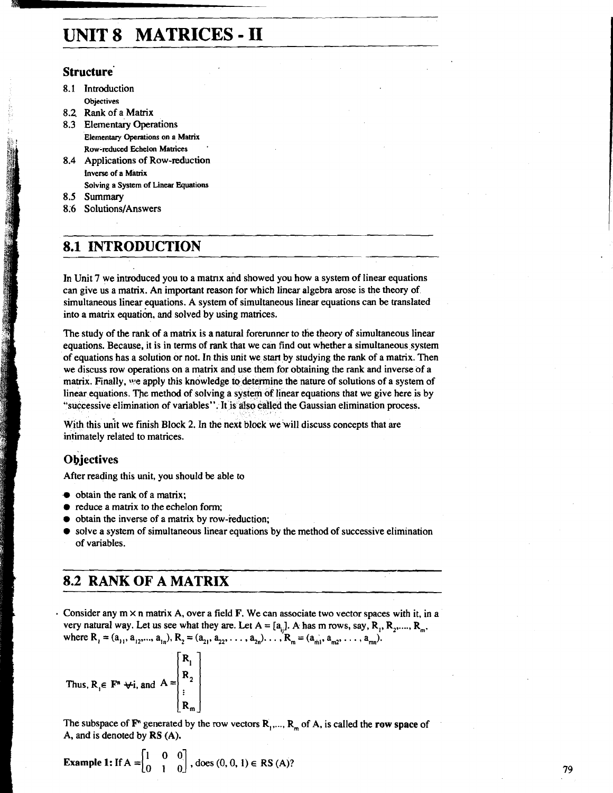# **UNIT 8 MATRICES** - **I1**

### **Structure'**

- 8.1 Introduction **Objectives**
- **8.2** Rank of a Matrix
- 8.3 Elementary Operations **Elementary Operations on a Matrix Row-reduced Echelon Mawices** '
- 8.4 Applications of Row-reduction **Inverse of a Mamx**

**Solving a System of Linear Equations** 

**8.5** Summary

8.6 Solutions/Answers

## **8.1 INTRODUCTION**

In Unit 7 we introduced you to a matrix and showed you how a system of linear equations can give us a matrix. An important reason for which linear algebra arose is the theory of simultaneous linear equations. A system of simultaneous linear equations can be translated into a matrix equation. and solved by using matrices.

The study of the rank of a matrix is a natural forerunner to the theory of simultaneous linear equations. Because, it is in terms of **rank** that we can find out whether a simultaneous system of equations has a solution or not. In this unit we start by studying the rank of a matrix. Then we discuss row operations on a matrix and use them for obtaining the rank and inverse of a matrix. Finally, we apply this knowledge to determine the nature of solutions of a system of linear equations. The method of solving a system of linear equations that we give here is by "successive elimination of variables". It is also called the Gaussian elimination process.

With this unit we finish Block 2. In the next block we will discuss concepts that are intimately related to matrices.

### **Objectives**

After reading this unit, you should be able to

- $\bullet$  obtain the rank of a matrix;
- $\bullet$  reduce a matrix to the echelon form;
- obtain the inverse of a matrix by row-reduction;
- solve a system of simultaneous linear equations by the method of successive elimination of variables.

## **8.2 RANK OF A MATRIX**

. Consider any  $m \times n$  matrix A, over a field F. We can associate two vector spaces with it, in a very natural way. Let us see what they are. Let  $A = [a_{ij}]$ . A has m rows, say,  $R_1, R_2, \ldots, R_m$ , where  $R_1 = (a_{11}, a_{12},..., a_{1n}), R_2 = (a_{21}, a_{22},..., a_{2n}), ..., R_m = (a_{m1}, a_{m2},..., a_{mn}).$ 

Thus, 
$$
R_i \in \mathbf{F}^n \forall i
$$
, and  $A = \begin{bmatrix} R_1 \\ R_2 \\ \vdots \\ R_n \end{bmatrix}$ 

The subspace of  $\mathbf{F}^n$  generated by the row vectors  $\mathbf{R}_1, \dots, \mathbf{R}_m$  of A, is called the row space of A, and is denoted by RS (A).

**Example 1:** If 
$$
A = \begin{bmatrix} 1 & 0 & 0 \\ 0 & 1 & 0 \end{bmatrix}
$$
, does  $(0, 0, 1) \in RS(A)$ ?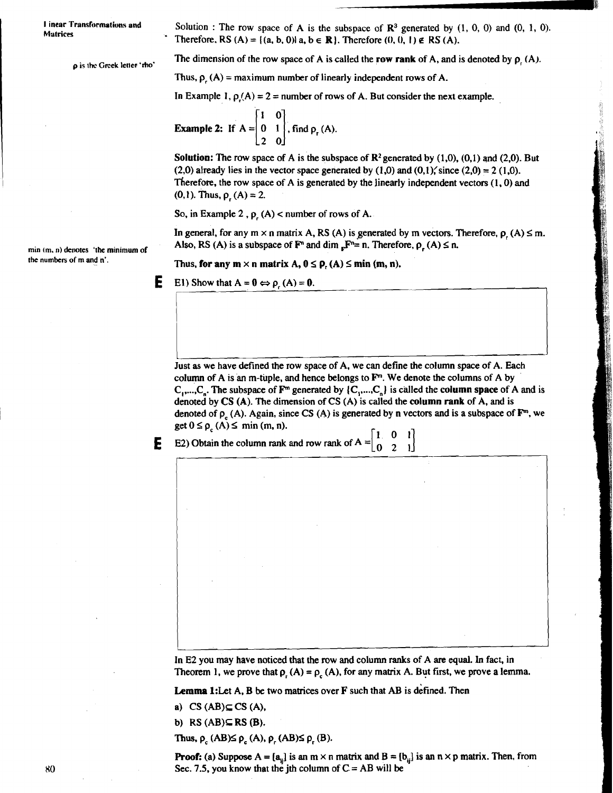**I inear Transformations and Matrices** 

Solution : The row space of A is the subspace of  $\mathbb{R}^3$  generated by  $(1, 0, 0)$  and  $(0, 1, 0)$ . Therefore, RS  $(A) = \{(a, b, 0) | a, b \in \mathbb{R}\}\)$ . Therefore  $(0, 0, 1) \notin \mathbb{R}$ S  $(A)$ .

**p** is the Greek letter 'tho' **The dimension of the row space of A is called the row rank of A, and is denoted by**  $p_i(A)$ **.** 

Thus,  $\rho_{r}(A)$  = maximum number of linearly independent rows of A.

In Example 1,  $\rho(A) = 2$  = number of rows of A. But consider the next example.

**Example 2:** If  $A = \begin{bmatrix} 1 & 0 \\ 0 & 1 \\ 2 & 0 \end{bmatrix}$ , find  $p_r(A)$ .

Solution: The row space of **A** is the subspace of **R2** generated by **(1.0). (0.1)** and **(2.0).** But **(2.0) already lies in the vector space generated by**  $(1,0)$  **and**  $(0,1)$ **; since**  $(2,0) = 2 (1,0)$ **.** Therefote, the row space of **A** is generated by the linearly independent vectors **(1.0)** and  $(0,1)$ . Thus,  $\rho_1(A) = 2$ .

So, in Example 2,  $\rho$ <sub>r</sub> (A) < number of rows of A.

In general, for any  $m \times n$  matrix A, RS (A) is generated by m vectors. Therefore,  $p(A) \le m$ . min (m, n) denotes 'the minimum of **Also, RS (A)** is a subspace of  $\mathbf{F}^n$  and dim  $\mathbf{F}^n = \mathbf{n}$ . Therefore,  $\mathbf{p}_r(A) \leq \mathbf{n}$ , the numbers of m and  $\mathbf{n}'$ .

Thus, for any  $m \times n$  matrix A,  $0 \le p$ ,  $(A) \le \min(m, n)$ .

**E** E1) Show that  $A = 0 \Leftrightarrow \rho(A) = 0$ .

Just **as** we have defined the row space of **A,** we can define the column space of A. Each column of A is an m-tuple, and hence belongs to  $\mathbf{F}^m$ . We denote the columns of A by  $C_1, \ldots, C_n$ . The subspace of  $\mathbf{F}^m$  generated by  $\{C_1, \ldots, C_n\}$  is called the **column space** of A and is denoted by CS (A). The dimension of CS **(A)** is called the column rank of **A,** and is denoted of  $p_a(A)$ . Again, since CS (A) is generated by n vectors and is a subspace of  $\mathbf{F}^m$ , we  $get 0 \leq \rho_c(A) \leq \min(m, n).$ denoted by  $\circ$  (A). Again, since CS (A)<br>denoted of  $\rho_c$  (A)  $\le$  min (m, n).<br>E2) Obtain the column rank and row r

**E** E2) Obtain the column rank and row rank of  $A = \begin{bmatrix} 1 & 0 \\ 0 & 1 \end{bmatrix}$ 

In **E2** you may have noticed that the row and column ranks of **A** are equal. In fact, in Theorem 1, we prove that  $\rho_r(A) = \rho_c(A)$ , for any matrix A. But first, we prove a lemma.

**Lemma** 1:Let **A, B be** two matrices over **F** such that **AB** is defined. Then

a)  $CS(AB) \subseteq CS(A)$ ,

b) RS **(AB)E** RS **(B).** 

Thus,  $\rho_c$  (AB) $\leq \rho_c$  (A),  $\rho_r$  (AB) $\leq \rho_r$  (B).

**Proof:** (a) Suppose  $A = [a_{ij}]$  is an  $m \times n$  matrix and  $B = [b_{ij}]$  is an  $n \times p$  matrix. Then, from Sec. 7.5, you know that the jth column of C = **AB** will be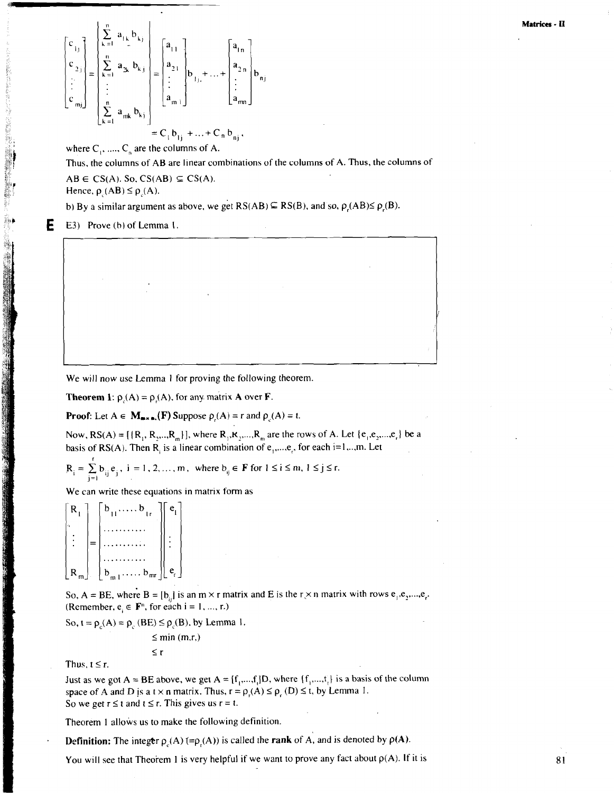$$
\begin{bmatrix} c_{1j} \\ c_{2j} \\ \vdots \\ c_{mj} \end{bmatrix} = \begin{bmatrix} \sum_{k=1}^{n} a_{1k} b_{kj} \\ \sum_{k=1}^{n} a_{2k} b_{kj} \\ \vdots \\ \sum_{k=1}^{n} a_{mk} b_{kj} \end{bmatrix} = \begin{bmatrix} a_{11} \\ a_{21} \\ \vdots \\ a_{mj} \end{bmatrix} b_{1j} + \dots + \begin{bmatrix} a_{1n} \\ a_{2n} \\ \vdots \\ a_{mn} \end{bmatrix} b_{nj}
$$

$$
= C_{1} b_{1j} + \dots + C_{n} b_{nj},
$$

where  $C_1$ , ....,  $C_n$  are the columns of A.

Thus, the columns of AB are linear combinations of the columns of A. Thus, the columns of

 $AB \in CS(A)$ . So,  $CS(AB) \subseteq CS(A)$ .

Hence,  $\rho_c(AB) \leq \rho_c(A)$ .

b) By a similar argument as above, we get  $RS(AB) \subseteq RS(B)$ , and so,  $\rho(AB) \leq \rho(B)$ .

**E** E3) Prove (h) of Lemma I.

We will now use Lemma 1 for proving the following theorem.

**Theorem 1:**  $\rho(A) = \rho(A)$ , for any matrix A over **F**.

**Proof:** Let  $A \in M_{\text{max in.}}(F)$  Suppose  $\rho_c(A) = r$  and  $\rho_c(A) = t$ .

Now,  $RS(A) = [{R_1, R_2, ..., R_m}]$ , where  $R_1, R_2, ..., R_m$  are the rows of A. Let  ${e_1, e_2, ..., e_n}$  be a basis of RS(A). Then R<sub>i</sub> is a linear combination of  $e_1$ ,..., $e_r$ , for each i=1,..,m. Let

$$
R_i = \sum_{j=1}^{r} b_{ij} e_j, \ i = 1, 2, ..., m, \text{ where } b_{ij} \in \mathbf{F} \text{ for } 1 \le i \le m, 1 \le j \le r.
$$

We can write these equations in matrix form as

$$
\begin{bmatrix} R_1 \\ \vdots \\ R_m \end{bmatrix} = \begin{bmatrix} b_{11} & \dots & b_{1r} \\ \dots & \dots & \dots \\ \dots & \dots & \dots \\ \dots & \dots & \dots \\ \dots & \dots & \dots \\ b_{m1} & \dots & b_{mr} \end{bmatrix} \begin{bmatrix} e_1 \\ \vdots \\ e_r \end{bmatrix}
$$

So, A = BE, where B = [b,,] is an m  $\times$  r matrix and E is the r  $\times$  n matrix with rows e<sub>r</sub>.e,...,e. (Remember,  $e_i \in \mathbf{F}^n$ , for each  $i = 1, ..., r$ .)

So,  $t = \rho_c(A) = \rho_c(BE) \le \rho_c(B)$ , by Lemma 1.

 $\leq r$ 

$$
\leq
$$
 min (m,r,)

Thus,  $t \leq r$ .

Just as we got  $A = BE$  above, we get  $A = [f_1, ..., f_n]D$ , where  $\{f_1, ..., f_n\}$  is a basis of the column space of A and D is a t  $\times$  n matrix. Thus,  $r = \rho(A) \leq \rho(A) \leq t$ , by Lemma 1. So we get  $r \le t$  and  $t \le r$ . This gives us  $r = t$ .

Theorem 1 allows us to make the following definition.

**Definition:** The integer  $\rho_c(A)$  (= $\rho_c(A)$ ) is called the **rank** of A, and is denoted by  $\rho(A)$ .

You will see that Theorem 1 is very helpful if we want to prove any fact about  $p(A)$ . If it is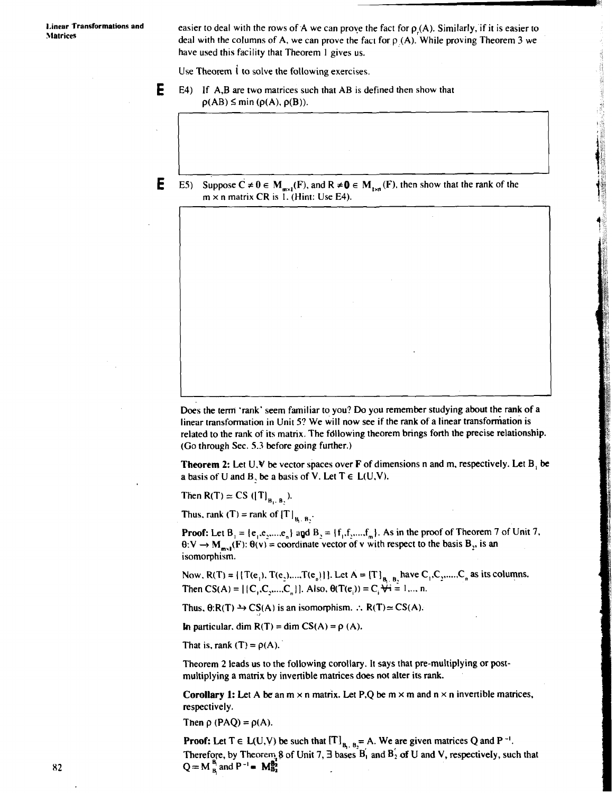**1, inear Transformations and** easier to deal with the rows of A we can prove the fact for  $\rho_r(A)$ . Similarly, if it is easier to the fact for  $\rho_r(A)$ . Similarly, if it is easier to deal with the columns of A, we can prove the fact for p (A). While proving Theorem 3 we have used this facility that Theorem 1 gives us.

Use Theorem I to solve the following exercises.

**E** E4) If A,B are two matrices such that AB is defined then show that  $\rho(AB) \leq \min (\rho(A), \rho(B)).$ 

**E E5**) Suppose  $C \neq 0 \in M_{max}(F)$ , and  $R \neq 0 \in M_{max}(F)$ , then show that the rank of the  $m \times n$  matrix CR is 1. (Hint: Use E4).

Does the term 'rank' seem familiar to you? Do you remember studying about the rank of a linear transformation in Unit **5?** We will now see if the rank of a linear transforniation is related to the rank of its matrix. The fdllowing theorem brings forth the precise relationship. (Go through Sec. 5.3 before going further.)

**Theorem 2:** Let U.V be vector spaces over **F** of dimensions n and m, respectively. Let B, be a basis of U and B, be a basis of V. Let  $T \in L(U,V)$ .

Then R(T)  $\simeq$  CS ([T]<sub>B<sub>1</sub>, B<sub>2</sub></sub>).

Thus, rank (T) = rank of  $[T]_{B_1, B_2}$ .

**Proof:** Let  $B_1 = \{e_1, e_2, \dots, e_n\}$  and  $B_2 = \{f_1, f_2, \dots, f_m\}$ . As in the proof of Theorem 7 of Unit 7,  $\theta: V \to M_{m_1}(F)$ :  $\theta(v)$  = coordinate vector of v with respect to the basis  $B_2$ , is an isomorphism.

Now.  $R(T) = \{ [T(e_1), T(e_2),..., T(e_n)] \}$ . Let  $A = [T]_{B_1 \cdot B_2}$  have  $C_1, C_2, ...., C_n$  as its columns. Then  $CS(A) = \{ [C_1, C_2, ..., C_n] \}$ . Also,  $\theta(T(e_i)) = C_i \forall i = 1, ..., n$ .

Thus.  $\theta:R(T) \rightarrow CS(A)$  is an isomorphism. :.  $R(T) \approx CS(A)$ .

**In particular.** dim  $R(T) = \dim CS(A) = \rho(A)$ .

That is, rank  $(T) = \rho(A)$ .

Theorem 2 leads us to the following corollary. It says that pre-multiplying or postmultiplying a matrix by invertible matrices does not alter its rank.

**Corollary 1:** Let A be an  $m \times n$  matrix. Let P,Q be  $m \times m$  and  $n \times n$  invertible matrices, respectively.

Then  $\rho$  (PAQ) =  $\rho(A)$ .

**Proof:** Let  $T \in L(U,V)$  be such that  $[T]_{B_1, B_2} = A$ . We are given matrices Q and P<sup>-1</sup>. Therefore, by Theorem 8 of Unit 7,  $\exists$  bases  $B'_1$  and  $B'_2$  of U and V, respectively, such that  $Q = M_B^B$  and  $P^{-1}$  =  $M_{B_2}^{B_2}$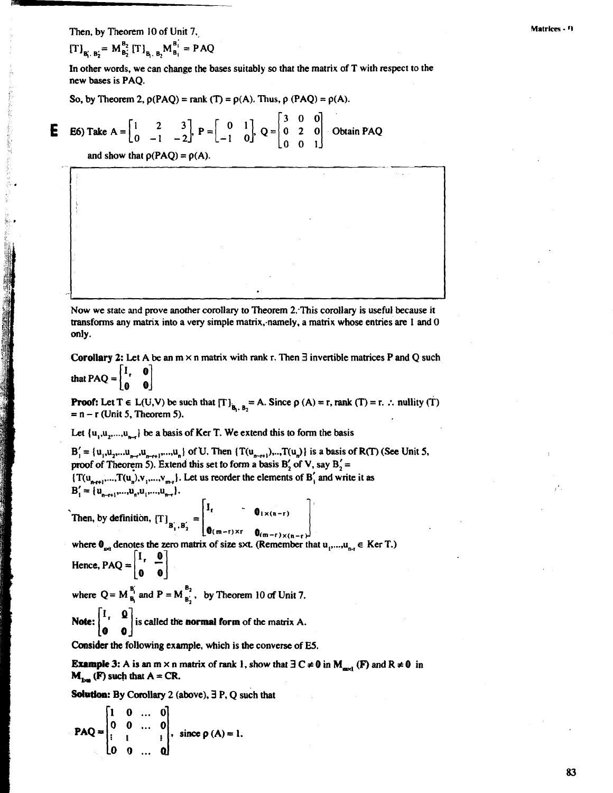Then, by Theorem 10 of Unit **7.,** 

 $[T]_{B_1, B_2'} = M_{B_2'}^{B_2} [T]_{B_1, B_2} M_{B_1}^{B_1'} = PAQ$ 

In other words, we can change the bases suitably so that the matrix of T with respect to the new bases is PAQ.

So, by Theorem 2,  $\rho(PAQ) = \text{rank}(T) = \rho(A)$ . Thus,  $\rho(PAQ) = \rho(A)$ .

**E** E6) Take A = 
$$
\begin{bmatrix} 1 & 2 & 3 \\ 0 & -1 & -2 \end{bmatrix}
$$
, P =  $\begin{bmatrix} 0 & 1 \\ -1 & 0 \end{bmatrix}$ , Q =  $\begin{bmatrix} 3 & 0 & 0 \\ 0 & 2 & 0 \\ 0 & 0 & 1 \end{bmatrix}$  Obtain PAQ

and show that  $\rho(PAO) = \rho(A)$ .

Now we state **and** prove another corollary to Theorem 2.-This corollary is useful because it transforms any matrix into a very simple matrix, namely, a matrix whose entries are 1 and 0 only.

**Corollary 2:** Let A be an  $m \times n$  matrix with rank r. Then **3** invertible matrices P and Q such that  $PAQ = \begin{bmatrix} I_r & 0 \\ 0 & 1 \end{bmatrix}$ 

**Proof:** Let  $T \in L(U,V)$  be such that  $[T]_{R_1, R_0} = A$ . Since  $\rho(A) = r$ , rank  $(T) = r$ .  $\therefore$  nullity  $(T)$ **EXECUTE:**  $L(t, v)$  be such that  $\{1\}_{B_1, B_2}$ .<br>= n – r (Unit 5, Theorem 5).

Let  $\{u_1, u_2, \ldots, u_n\}$  be a basis of Ker T. We extend this to form the basis

 $B'_{i} = \{u_{i}, u_{i}, \ldots, u_{n-i}, u_{n+i}, \ldots, u_{n}\}$  of U. Then  $\{T(u_{n-i}, \ldots, u_n)\}$  is a basis of R(T) **(See Unit 5,** proof of Theorem 5). Extend this set to form a basis  $B'_2$  of V, say  $B'_2$  =  $\{T(u_{n+r},...,T(u_n),v_{1},...,v_{m-r}\}.$  Let us reorder the elements of  $B'_i$  and write it as  $\mathbf{B}'_1 = {\mathbf{u}_{n-r+1}, ..., \mathbf{u}_n, \mathbf{u}_1, ..., \mathbf{u}_{n-r}}.$ 

Then, by definition,  $[T]_{B_1^{'},B_2^{'}} = \begin{bmatrix} 1_r & 0_{1 \times (n-r)} \\ 0_{(m-r) \times r} & 0_{(m-r) \times (n-r)} \end{bmatrix}$ 

where  $\mathbf{0}_{\infty}$  denotes the zero matrix of size sxt. (Remember that  $u_1,...,u_{n-1} \in$  Ker T.) Hence, PAQ =  $\begin{bmatrix} I_r & 0 \\ 0 & 0 \end{bmatrix}$ 

where  $Q = M_{B_1}^{B'_1}$  and  $P = M_{B'_2}^{B_2}$ , by Theorem 10 of Unit 7.

**Note:**  $\begin{bmatrix} I_r & \mathbf{0} \\ \mathbf{0} & \mathbf{0} \end{bmatrix}$  is called the **normal form** of the matrix A.

Consider the following example, which is the converse of **E5.** 

**Example 3:** A is an  $m \times n$  matrix of rank 1, show that  $\exists C \neq 0$  in  $M_{\text{max}}(F)$  and  $R \neq 0$  in  $M_{1}$  (F) such that  $A = CR$ .

**Solution:** By Corollary 2 (above),  $\exists$  P, O such that

$$
\mathbf{PAQ} = \begin{bmatrix} 1 & 0 & \dots & 0 \\ 0 & 0 & \dots & 0 \\ \vdots & \vdots & & \vdots \\ 0 & 0 & \dots & 0 \end{bmatrix}, \text{ since } \rho(A) = 1.
$$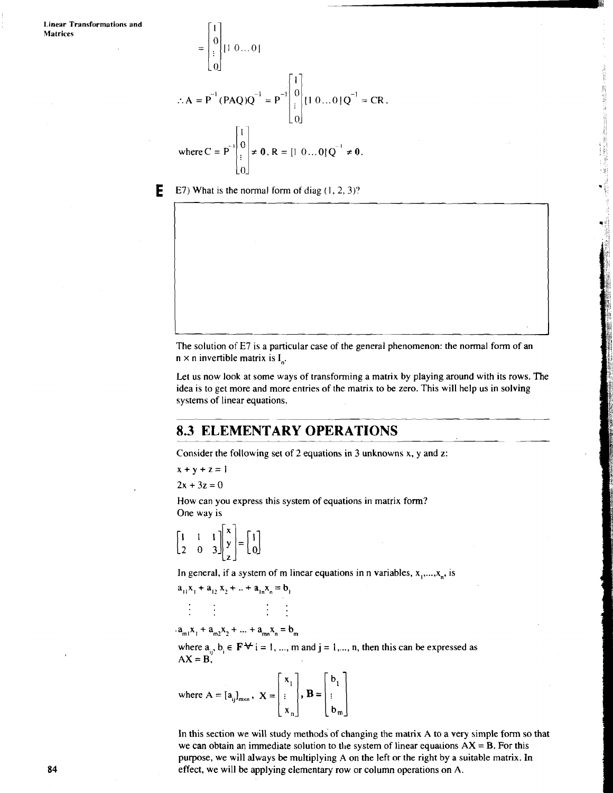$$
= \begin{bmatrix} 0 \\ \vdots \\ 0 \end{bmatrix} [1 \ 0 \dots 0]
$$
  
∴ A = P<sup>-1</sup> (PAQ)Q<sup>-1</sup> = P<sup>-1</sup>  $\begin{bmatrix} 1 \\ 0 \\ \vdots \\ 0 \end{bmatrix} [1 \ 0 \dots 0]Q^{-1} = CR,$   
where C = P<sup>-1</sup>  $\begin{bmatrix} 1 \\ 0 \\ \vdots \\ 0 \end{bmatrix}$  ≠ 0, R = [1 0 ... 0]Q<sup>-1</sup> ≠ 0.

 $\lceil \cdot \rceil$ 

**E**  $E$  E7) What is the normal form of diag  $(1, 2, 3)$ ?

The solution of E7 is a particular case of the general phenomenon: the normal form of an  $n \times n$  invertible matrix is  $I_n$ .

Let us now look at some ways of transforming a matrix by playing around with its rows. The idea is to get more and more entries of the matrix to be zero. This will help us in solving systems of linear equations.

1995年1998年,湖北128年19月14日,1995年1月19日,1995年1月1日,1995年1月1日,1995年1月1日,1995年1月1日,1995年1月1日,1995年1月1日,1995年

### **8.3 ELEMENTARY OPERATIONS**

Consider the following set of 2 equations in 3 unknowns x, y and z:

 $x + y + z = 1$ 

 $2x + 3z = 0$ 

How can you express this system of equations in matrix form? One way is .<br>ค.ศ.

$$
\begin{bmatrix} 1 & 1 & 1 \ 2 & 0 & 3 \end{bmatrix} \begin{bmatrix} x \\ y \\ z \end{bmatrix} = \begin{bmatrix} 1 \\ 0 \end{bmatrix}
$$

In general, if a system of m linear equations in n variables,  $x_1, \ldots, x_n$ , is

$$
a_{11}x_1 + a_{12}x_2 + \ldots + a_{1n}x_n = b_1
$$

 $\frac{1}{2}$  and  $\frac{1}{2}$  and  $\frac{1}{2}$  and  $\frac{1}{2}$ 

 $a_{m1}x_1 + a_{m2}x_2 + ... + a_{mn}x_n = b_m$ 

where  $a_{ii}$ ,  $b_i \in \mathbf{F} \star i = 1, ..., m$  and  $j = 1, ..., n$ , then this can be expressed as  $AX = B$ ,

where 
$$
A = [a_{ij}]_{m \times n}
$$
,  $X = \begin{bmatrix} x_1 \\ \vdots \\ x_n \end{bmatrix}$ ,  $B = \begin{bmatrix} b_1 \\ \vdots \\ b_m \end{bmatrix}$ 

 $\mathcal{L}_{\mathrm{max}}$ 

In this section we will study methods of changing the matrix A to a very simple form so that we can obtain an immediate solution to the system of linear equations  $AX = B$ . For this purpose, we will always be multiplying A on the left or the right by a suitable matrix. In effect, we will be applying elementary row or column operations on A.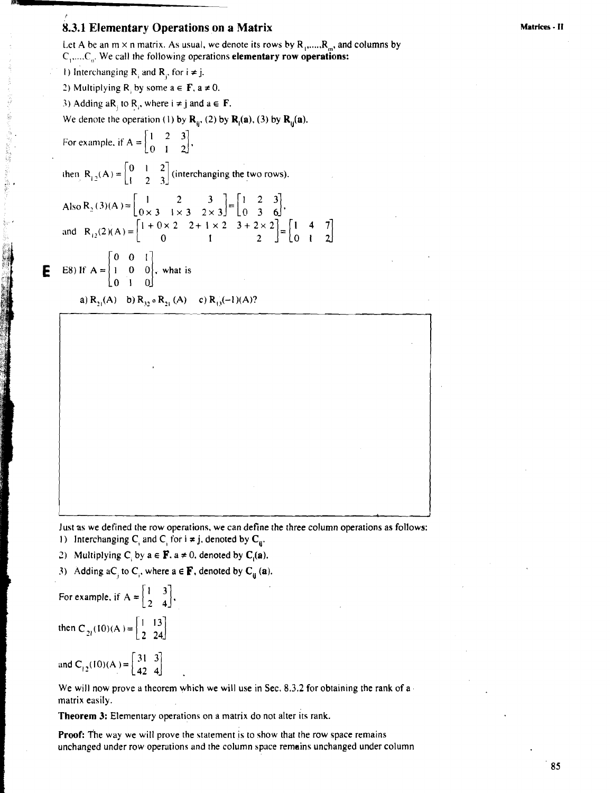### **8.3.1 Elementary Operations on a Matrix**

Let A be an  $m \times n$  matrix. As usual, we denote its rows by  $R_1$ ,....,  $R_m$ , and columns by C, ,.. ..C,,. We call the following operations **elementary** row operations: 1) Interchanging **R**, and **R**<sub>i</sub>, for  $i \neq j$ . 2) Multiplying R, by some  $a \in F$ ,  $a \ne 0$ . 3) Adding aR, to R,, where  $i \neq j$  and  $a \in F$ . We denote the operation (1) by  $\mathbf{R}_{ij}$ , (2) by  $\mathbf{R}_{j}(\mathbf{a})$ , (3) by  $\mathbf{R}_{ij}(\mathbf{a})$ . For example, if  $A = \begin{bmatrix} 1 & 2 & 3 \\ 0 & 1 & 2 \end{bmatrix}$ , then  $R_{12}(A) = \begin{bmatrix} 0 & 1 & 2 \\ 1 & 2 & 3 \end{bmatrix}$  (interchanging the two rows). Also R<sub>2</sub> (3)(A) =  $\begin{pmatrix} 1 & 2 \\ 0 & 3 & 1 \end{pmatrix}$ and  $R_{12}(2)(A) = \begin{bmatrix} 1 & 0 & 2 & 2 & 1 & 2 \\ 0 & 1 & 2 & 2 \end{bmatrix}$ **E** E8) If  $A = \begin{bmatrix} 0 & 0 & 1 \\ 1 & 0 & 0 \\ 0 & 1 & 0 \end{bmatrix}$ , what is **a**)  $R_{21}(A)$  **b**)  $R_{32}$  **o**  $R_{21}(A)$  **c**)  $R_{13}(-1)(A)$ ?

Just as we defined the row operations, we can define the three column operations as follows:

1) Interchanging C<sub>i</sub> and C<sub>i</sub> for  $i \neq j$ , denoted by C<sub>u</sub>.

2) **Multiplying C<sub>i</sub> by**  $a \in \mathbf{F}$ **.**  $a \neq 0$ **, denoted by <b>C<sub>i</sub>(a)**.

3) Adding aC<sub>i</sub> to C<sub>i</sub>, where  $a \in \mathbf{F}$ , denoted by  $\mathbf{C}_{ii}$  (a).

For example, if  $A = \begin{bmatrix} 1 & 3 \\ 2 & 4 \end{bmatrix}$ ,

 $\phi_{\rm c}$ 

then  $C_{2l}(10)(A) = \begin{bmatrix} 1 & 13 \\ 2 & 24 \end{bmatrix}$ 

and  $C_{12}(10)(A) = \begin{bmatrix} 31 & 3 \\ 42 & 4 \end{bmatrix}$ 

We will now prove a theorem which we will use in Sec. 8.3.2 for obtaining the rank of a matrix easily.

**Theorem** 3: Elementary operations on a matrix do not alter its rank.

Proof: T'he way we will prove the statement is to show that the row space remains unchanged under row operations and the column space remains unchanged under column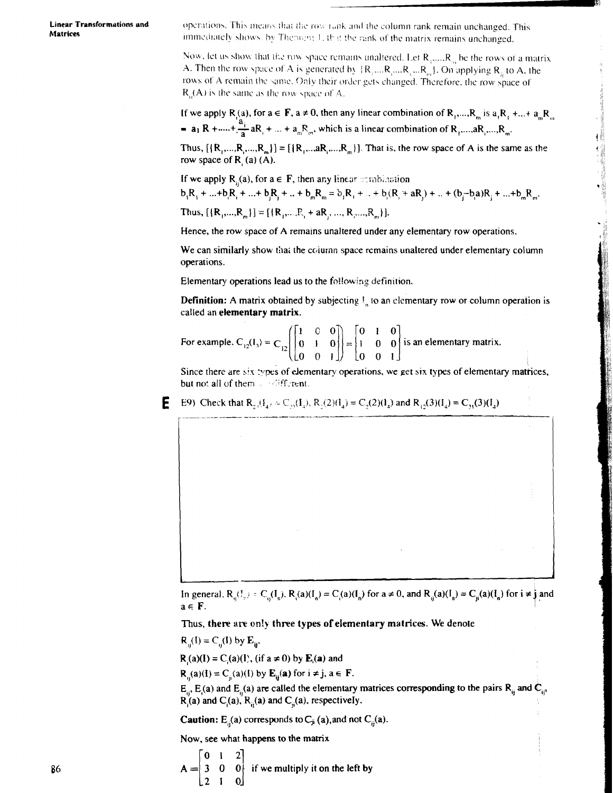**Linear Transformations and Matrices** 

operations. This means that the row rank and the column rank remain unchanged. This immediately shows, by Theorem 1, if it the rank of the matrix remains unchanged.

Now, let us show that the row space remains unaltered. Let  $R_1, ..., R_m$  be the rows of a matrix A. Then the row space of A is generated by  $\{R_1,...R_1,...R_n,...R_m\}$ . On applying  $R_i$  to A, the rows of A remain the same. Only their order gets changed. Therefore, the row space of  $R<sub>n</sub>(A)$  is the same as the row space of A.

If we apply R<sub>1</sub>(a), for  $a \in F$ ,  $a \ne 0$ , then any linear combination of R<sub>1</sub>,...,R<sub>m</sub> is  $a_1R_1 + ... + a_mR_m$ =  $a_1 R + \dots + \frac{a_i}{a} a R_1 + \dots + a_m R_m$ , which is a linear combination of  $R_1, \dots, R_m$ .

Thus,  $[{R_1,...,R_2,...,R_m}] = [{R_1,...,aR_1,...,R_m}]$ . That is, the row space of A is the same as the row space of R (a) (A).

If we apply  $R_n(a)$ , for  $a \in F$ , then any linear combination  $b_iR_1 + ... + b_iR_1 + ... + b_iR_i + ... + b_mR_m = b_iR_1 + ... + b_i(R_i + aR_i) + ... + (b_i - b_iA)R_i + ... + b_mR_m$ 

Thus,  $[{R_1,...,R_m}] = [{R_1,...,R_1 + aR_1,...,R_n,...,R_m}].$ 

Hence, the row space of A remains unaltered under any elementary row operations.

We can similarly show that the column space remains unaltered under elementary column operations.

Elementary operations lead us to the following definition.

**Definition:** A matrix obtained by subjecting  $\mathbf{l}_x$  to an elementary row or column operation is called an elementary matrix.

For example.  $C_{12}(1) = C_{12}\begin{bmatrix} 1 & 0 & 0 \ 0 & 1 & 0 \ 0 & 0 & 1 \end{bmatrix} = \begin{bmatrix} 0 & 1 & 0 \ 1 & 0 & 0 \ 0 & 0 & 1 \end{bmatrix}$  is an elementary matrix.

Since there are six types of elementary operations, we get six types of elementary matrices, but not all of them a stifferent.

E9) Check that R<sub>2</sub>( $f_4$ ,  $\in C_{y_2}(I_4)$ , R<sub>1</sub>(2)( $I_4$ ) = C<sub>2</sub>(2)( $I_4$ ) and R<sub>12</sub>(3)( $I_4$ ) = C<sub>2</sub>(3)( $I_4$ )



Thus, there are only three types of elementary matrices. We denote

 $R_{ii}(I) = C_{ii}(I)$  by  $E_{ii}$ .

Е

 $R_1(a)(I) = C_2(a)(I)$ , (if  $a \ne 0$ ) by  $E_1(a)$  and

 $\mathbf{R}_{ii}(\mathbf{a})(\mathbf{l}) = \mathbf{C}_{ii}(\mathbf{a})(\mathbf{l})$  by  $\mathbf{E}_{ii}(\mathbf{a})$  for  $i \neq j$ ,  $\mathbf{a} \in \mathbf{F}$ .

 $E_{\mu}$ ,  $E_{\mu}$  and  $E_{\mu}$  are called the elementary matrices corresponding to the pairs  $R_{\mu}$  and  $C_{\mu}$ ,  $R_i(a)$  and  $C_i(a)$ ,  $R_i(a)$  and  $C_i(a)$ , respectively.

**Caution:**  $E_{ii}(a)$  corresponds to  $C_{ji}(a)$ , and not  $C_{ii}(a)$ .

Now, see what happens to the matrix

 $A = \begin{bmatrix} 0 & 1 & 2 \\ 3 & 0 & 0 \end{bmatrix}$  if we multiply it on the left by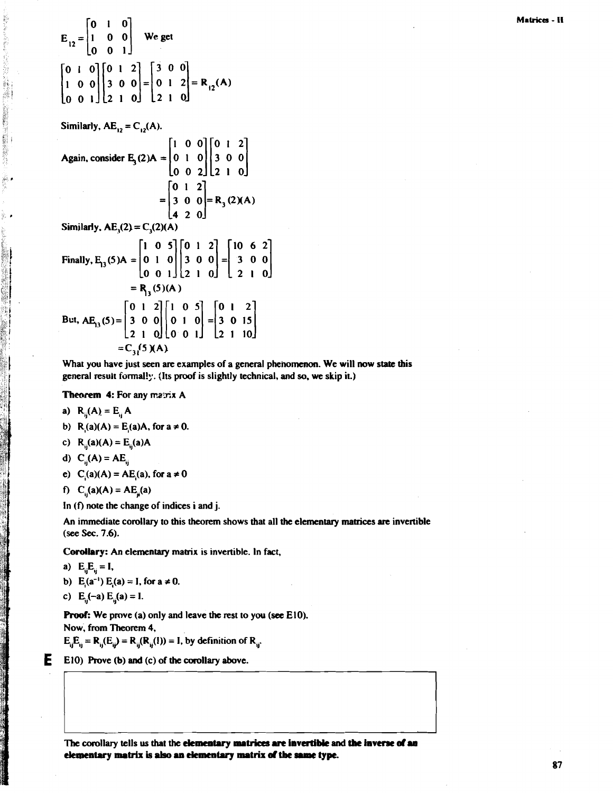$$
E_{12} = \begin{bmatrix} 0 & 1 & 0 \\ 1 & 0 & 0 \\ 0 & 0 & 1 \end{bmatrix}
$$
 We get  
\n
$$
\begin{bmatrix} 0 & 1 & 0 \\ 1 & 0 & 0 \\ 0 & 0 & 1 \end{bmatrix} \begin{bmatrix} 0 & 1 & 2 \\ 3 & 0 & 0 \\ 2 & 1 & 0 \end{bmatrix} = \begin{bmatrix} 3 & 0 & 0 \\ 0 & 1 & 2 \\ 2 & 1 & 0 \end{bmatrix} = R_{12}(A)
$$

Similarly,  $AE_{12} = C_{12}(A)$ .

5月 阿藤(藻)

Again, consider E<sub>3</sub>(2)A = 
$$
\begin{bmatrix} 1 & 0 & 0 \\ 0 & 1 & 0 \\ 0 & 0 & 2 \end{bmatrix} \begin{bmatrix} 0 & 1 & 2 \\ 3 & 0 & 0 \\ 2 & 1 & 0 \end{bmatrix}
$$
  
\n= 
$$
\begin{bmatrix} 0 & 1 & 2 \\ 3 & 0 & 0 \\ 4 & 2 & 0 \end{bmatrix} = R_3(2)(A)
$$
  
\nSimilarly, AE<sub>3</sub>(2) = C<sub>3</sub>(2)(A)  
\nFinally, E<sub>13</sub>(5)A = 
$$
\begin{bmatrix} 1 & 0 & 5 \\ 0 & 1 & 0 \\ 0 & 0 & 1 \end{bmatrix} \begin{bmatrix} 0 & 1 & 2 \\ 3 & 0 & 0 \\ 2 & 1 & 0 \end{bmatrix} = \begin{bmatrix} 10 & 6 & 2 \\ 3 & 0 & 0 \\ 2 & 1 & 0 \end{bmatrix}
$$
  
\n= R<sub>13</sub>(5)(A)  
\nBut, AE<sub>13</sub>(5) = 
$$
\begin{bmatrix} 0 & 1 & 2 \\ 3 & 0 & 0 \\ 2 & 1 & 0 \end{bmatrix} \begin{bmatrix} 1 & 0 & 5 \\ 0 & 1 & 0 \\ 0 & 0 & 1 \end{bmatrix} = \begin{bmatrix} 0 & 1 & 2 \\ 3 & 0 & 15 \\ 2 & 1 & 10 \end{bmatrix}
$$
  
\n= C<sub>3</sub>(5)(A)

What you have just seen are examples of a general phenomenon. We will now state this general result formally. (Its proof is slightly technical, and so, we skip it.)

Theorem 4: For any matrix A

a) 
$$
R_{ii}(A) = E_{ii}A
$$

b) 
$$
R_i(a)(A) = E_i(a)A
$$
, for  $a \ne 0$ .

c) 
$$
R_{ii}(a)(A) = E_{ii}(a)A
$$

d) 
$$
C_{ii}(A) = AE_{ii}
$$

e)  $C_1(a)(A) = AE_1(a)$ , for  $a \ne 0$ 

$$
f) C_{ii}(a)(A) = AE_{ii}(a)
$$

In (f) note the change of indices i and j.

An immediate corollary to this theorem shows that all the elementary matrices are invertible (see Sec. 7.6).

Corollary: An elementary matrix is invertible. In fact,

a) 
$$
E_{ij}E_{ij} = I,
$$

E

b) 
$$
E_i(a^{-1}) E_i(a) = I
$$
, for  $a \ne 0$ .

c)  $E_{ii}(-a) E_{ii}(a) = I$ .

**Proof:** We prove (a) only and leave the rest to you (see E10). Now, from Theorem 4,

 $E_{ii}E_{ii} = R_{ii}(E_{ii}) = R_{ii}(R_{ii}(1)) = I$ , by definition of  $R_{ii}$ .

### E10) Prove (b) and (c) of the corollary above.

The corollary tells us that the elementary matrices are invertible and the inverse of an elementary matrix is also an elementary matrix of the same type.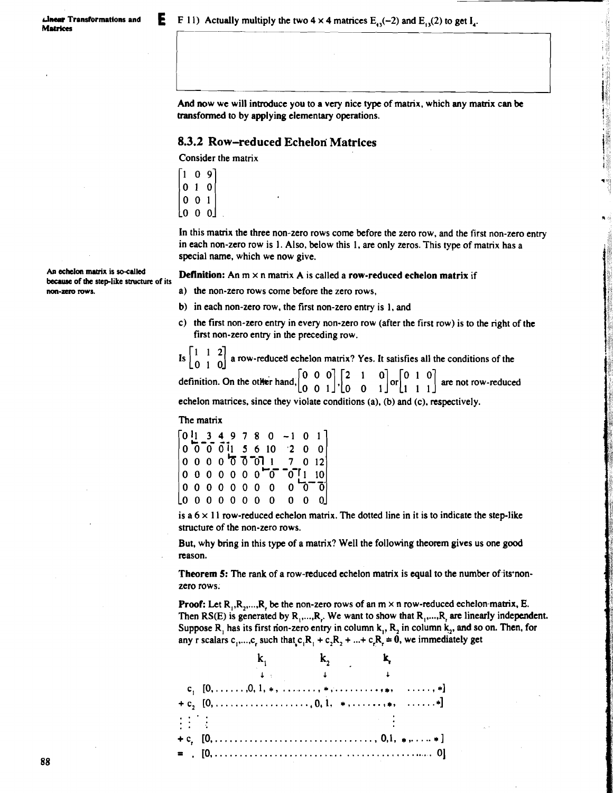And now we will introduce you to a very nice type of matrix, which any matrix can be transformed to by applying elementary operations. **8.3.2 Row-reduced Echelon Matrices Example 2018 Row-reduced Echelon Matrices i** 

1

Consider the matrix

 $109$  $010$  $0 \t0 \t1$ lo o ol

In this matrix the three non-zero rows come before the zero row, and the first non-zero entry in each non-zero row is 1. Also, below this 1, are only zeros. This type of matrix has a special name, which we now give.

## An echelon matrix is so-called **Definition:** An  $m \times n$  matrix A is called a row-reduced echelon matrix if **because** of the step-like structure of its

- **non-zero rows. a)** the non-zero rows come before the zero rows,
	- b) in each non-zero row, the first non-zero entry is  $1$ , and
	- C) the first non-zero entry in every non-zero row (after the first row) is to the right of the first non-zero entry in the preceding row.

Is  $\begin{bmatrix} 1 & 1 & 2 \\ 0 & 1 & 0 \end{bmatrix}$  a row-reduced echelon matrix? Yes. It satisfies all the conditions of the definition. On the other hand,  $\begin{bmatrix} 0 & 0 & 0 \\ 0 & 0 & 1 \end{bmatrix} \begin{bmatrix} 2 & 1 & 0 \\ 1 & 0 & 1 \end{bmatrix}$  or  $\begin{bmatrix} 0 & 1 & 0 \\$ 

echelon matrices, since they violate conditions (a), **(b)** and (c), respectively.

The matrix

0 **34978** 0 -1 0 1 0 0-f 611 5 6 10 '2 0 0 0000~3-011 **7** 012 0 0 0 0 0 0 0 <sup>0</sup> 0<sup>-</sup>0<sup>-1</sup>1 10<br>0 0 0 0 0 0 0 0 0<sup>-0-</sup>0 0000000 0 0'3-3  $10000000000$ 

is a  $6 \times 11$  row-reduced echelon matrix. The dotted line in it is to indicate the step-like structure of the non-zero rows.

But, why bring in this type of a matrix? Well the following theorem gives us one **good**  reason.

**Theorem 5:** The rank of a row-reduced echelon matrix is equal to the number of its nonzero rows.

**Proof:** Let  $R_1, R_2, \ldots, R_k$  be the non-zero rows of an  $m \times n$  row-reduced echelon-matrix, E. Then  $RS(E)$  is generated by  $R_1, ..., R_r$ . We want to show that  $R_1, ..., R_r$  are linearly independent. Suppose R, has its first non-zero entry in column k,, R, in column **k,,** and so on. Then, for any r scalars  $c_1, \ldots, c_r$  such that  $c_1R_1 + c_2R_2 + \ldots + c_rR_r = 0$ , we immediately get

| $\mathbb{R}^n \times \mathbb{R}^n$ |  | <b>Contract Contract</b>                                                                         |
|------------------------------------|--|--------------------------------------------------------------------------------------------------|
|                                    |  | $+ c, [0, \ldots, \ldots, \ldots, \ldots, \ldots, \ldots, \ldots, 0, 1, \ldots, \ldots, \ldots,$ |
|                                    |  |                                                                                                  |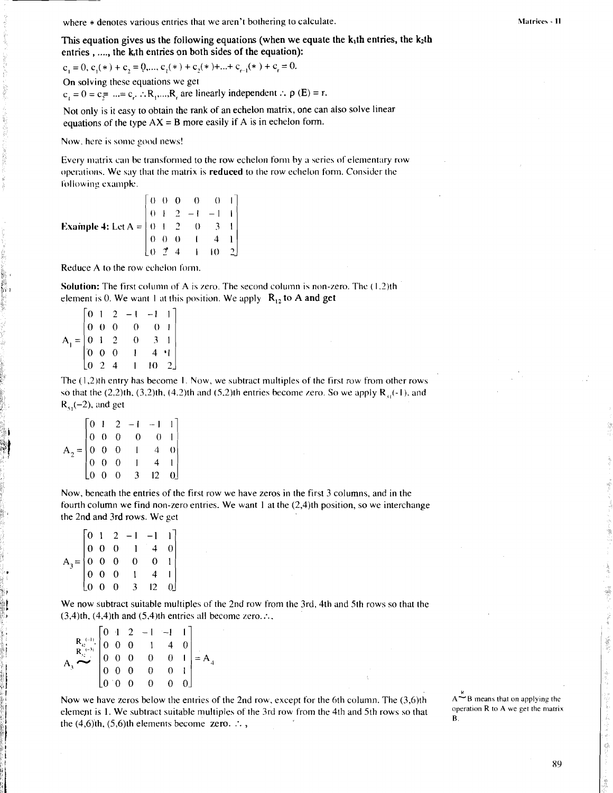where  $*$  denotes various entries that we aren't bothering to calculate.

 $c_1 = 0, c_1(*) + c_2 = 0, ..., c_1(*) + c_2(*) + ... + c_{r-1}(*) + c_r = 0.$ 

On solving these equations we get

 $c_1 = 0 = c_1 = ... = c_r$ .  $: R_1, ..., R_r$  are linearly independent  $: \rho(E) = r$ .

Not only is it easy to obtain the rank of an echelon matrix, one can also solve linear equations of the type  $AX = B$  more easily if A is in echelon form.

Now. here is some goocl news!

Every matrix can be transformed to the row echelon form by a series of elementary row operations. We say that the matrix is reduced to the row echelon form. Consider the following example.

**Example 4:** Let  $A = \begin{pmatrix} 0 & 1 & 2 & 0 & 3 & 1 \end{pmatrix}$  $0 \quad 0 \quad 0$  $0 + 2 -1 -1$ 0 *0 0* 1 4 1  $|0 \t2 \t4$ 

Reduce A to the row echelon form

**Solution:** The first column of A is zero. The second column is non-zero. The (1.2)th element is 0. We want 1 at this position. We apply  $R_{12}$  to A and get  $\begin{bmatrix} 0 & 1 & 2 & -1 & -1 & 1 \end{bmatrix}$ 

|     | $\lceil 0 \rceil$                            |  | $2 - 1$                                                                         | $-1$     |                |  |
|-----|----------------------------------------------|--|---------------------------------------------------------------------------------|----------|----------------|--|
|     | $\begin{array}{ ccc } 0 & 0 & 0 \end{array}$ |  | $\overline{\phantom{0}}$                                                        | $\theta$ |                |  |
| $=$ |                                              |  | $\begin{bmatrix} 0 & 1 & 2 & 0 \\ 0 & 1 & 2 & 0 \\ 0 & 0 & 0 & 1 \end{bmatrix}$ | 3        |                |  |
|     |                                              |  |                                                                                 |          | $4 \cdot 1$    |  |
|     | $\begin{bmatrix} 0 & 2 & 4 \end{bmatrix}$    |  |                                                                                 | Iθ       | 2 <sup>1</sup> |  |

The ( 1,2)th entry has become I. Now, we subtract multiples of the first row from other rows so that the (2,2)th, (3,2)th, (4,2)th and (5,2)th entries become zero. So we apply  $R_{i,j}(-1)$ , and  $R_{\rm st}(-2)$ , and get

| $\mathbf{A}_2 = \begin{bmatrix} 0 & 1 & 2 & -1 & -1 & 1 \\ 0 & 0 & 0 & 0 & 0 & 1 \\ 0 & 0 & 0 & 1 & 4 & 0 \\ 0 & 0 & 0 & 1 & 4 & 1 \\ 0 & 0 & 0 & 3 & 12 & 0 \end{bmatrix}$ |  |  |  |  |
|-----------------------------------------------------------------------------------------------------------------------------------------------------------------------------|--|--|--|--|
|                                                                                                                                                                             |  |  |  |  |
|                                                                                                                                                                             |  |  |  |  |
|                                                                                                                                                                             |  |  |  |  |
|                                                                                                                                                                             |  |  |  |  |

Now, beneath the entries of the first row we have zeros in the first 3 columns, and in the fourth column we find non-zero entries. We want 1 at the (2,4)th position, so we interchange the 2nd and 3rd rows. We get

| 01 |  | $2 -1 -1$                                                                                               |                  |  |
|----|--|---------------------------------------------------------------------------------------------------------|------------------|--|
|    |  |                                                                                                         | 4                |  |
|    |  | $A_3 = \begin{bmatrix} 0 & 1 & 2 & -1 \\ 0 & 0 & 0 & 1 \\ 0 & 0 & 0 & 0 \\ 0 & 0 & 0 & 1 \end{bmatrix}$ |                  |  |
|    |  |                                                                                                         |                  |  |
|    |  | $\begin{matrix} 0 & 0 & 0 & 3 \end{matrix}$                                                             | 12 <sup>12</sup> |  |

We now subtract suitable multiples of the 2nd row from the 3rd, 4th and 5th rows so that the  $(3,4)$ th,  $(4,4)$ th and  $(5,4)$ th entries all become zero. :..

| $\begin{bmatrix}\nR_2 & -1 \\ R_3 & 0 & 0 \\ R_4 & 0 & 0 \\ 3 & 0 & 0 & 0 \\ 3 & 0 & 0 & 0 \\ 0 & 0 & 0 & 0 & 1 \\ 0 & 0 & 0 & 0 & 0 \\ 0 & 0 & 0 & 0 & 0\n\end{bmatrix} = A$ |  |  |  |  |
|-------------------------------------------------------------------------------------------------------------------------------------------------------------------------------|--|--|--|--|
|                                                                                                                                                                               |  |  |  |  |
|                                                                                                                                                                               |  |  |  |  |
|                                                                                                                                                                               |  |  |  |  |
|                                                                                                                                                                               |  |  |  |  |

Now we have zeros below the entries of the 2nd row, except for the 6th column. The  $(3,6)$ th  $A^{-1}B$  means that on applying the **algement** is 1. We subtract suitable multiples of the 3rd row from the 4th and 5th rows so t element is 1. We subtract suitable multiples of the 3rd row from the 4th and 5th rows so that  $\frac{op}{B}$ . the  $(4,6)$ th.  $(5,6)$ th elements become zero.  $\therefore$ ,

 $A \stackrel{c}{\sim} B$  means that on applying the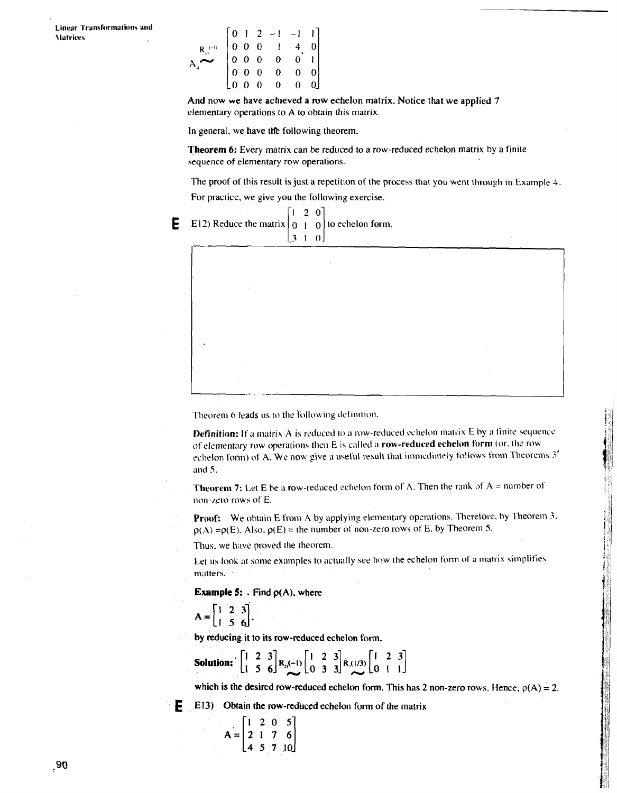|                           |  |  | $\begin{bmatrix} 0 & 1 & 2 & -1 & -1 & 1 \\ 0 & 0 & 0 & 1 & 4 & 0 \\ 0 & 0 & 0 & 0 & 0 & 1 \\ 0 & 0 & 0 & 0 & 0 & 0 \\ 0 & 0 & 0 & 0 & 0 & 0 \end{bmatrix}$ |  |
|---------------------------|--|--|-------------------------------------------------------------------------------------------------------------------------------------------------------------|--|
| $\mathbf{R}_{43}^{-(-1)}$ |  |  |                                                                                                                                                             |  |
|                           |  |  |                                                                                                                                                             |  |
|                           |  |  |                                                                                                                                                             |  |
|                           |  |  |                                                                                                                                                             |  |

And now we have achieved a row echelon matrix. Notice that we applied 7 elementary operations to **A** to obtain this matrix.

In general, we have the following theorem.

**Theorem** 6: Every matrix can be reduced to a row-reduced echelon matrix by a finite sequence of elementary row operations.

The proof of this result is just a repetition of the process that you went through in Example 4.

For practice, we give you the following exercise.





Theorem 6 leads us to the following definition.

**Definition:** If a matrix A is reduced to a row-reduced echelon matrix E by a finite sequence of elementary row operations then E is called a row-reduced echelon form (or, the row echelon form) of A. We now give a useful result that immediately follows from Theorems 3' and 5.

**Theorem 7:** Let E be a row-reduced echelon form of A. Then the rank of  $A =$  number of non-zero rows of E.

Proof: We obtain E from A by applying elementary operations. Therefore, by Theorem 3.  $p(A) = p(E)$ . Also,  $p(E) =$  the number of non-zero rows of E, by Theorem 5.

Thus, we have proved the theorem.

Let us look at some examples to actually see how the echelon form of a matrix simplifies matters.

**Example 5:**  $\cdot$  Find  $\rho(A)$ , where

 $A = \begin{bmatrix} 1 & 2 & 3 \\ 1 & 5 & 6 \end{bmatrix},$ 

by reducing it to its row-reduced echelon form.

**Solution:** 
$$
\begin{bmatrix} 1 & 2 & 3 \\ 1 & 5 & 6 \end{bmatrix}
$$
 R<sub>3</sub>(-1)  $\begin{bmatrix} 1 & 2 & 3 \\ 0 & 3 & 3 \end{bmatrix}$  R<sub>3</sub>(1/3)  $\begin{bmatrix} 1 & 2 & 3 \\ 0 & 1 & 1 \end{bmatrix}$ 

which is the desired row-reduced echelon form. This has 2 non-zero rows. Hence,  $\rho(A) = 2$ .

**E** E13) Obtain the row-reduced echelon form of the matrix

$$
A = \begin{bmatrix} 1 & 2 & 0 & 5 \\ 2 & 1 & 7 & 6 \\ 4 & 5 & 7 & 10 \end{bmatrix}
$$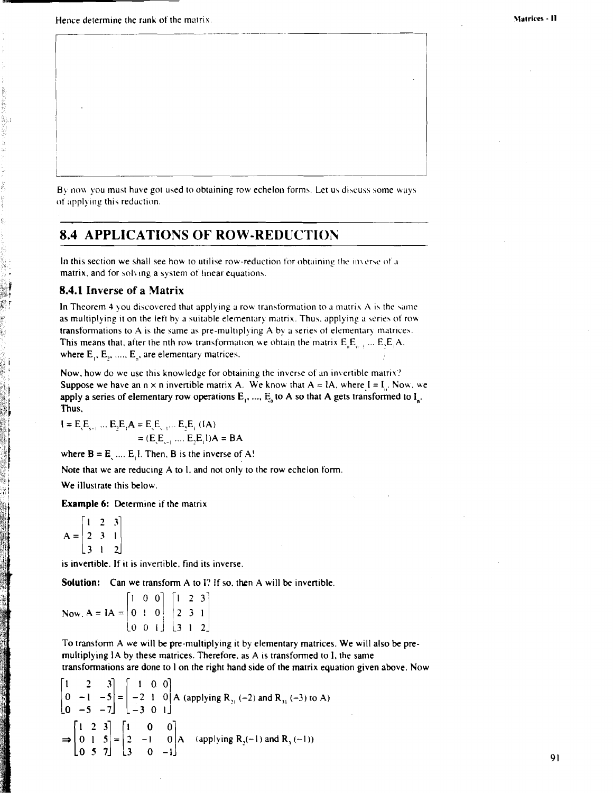i

By now you must have got used to obtaining row echelon forms. Let us discuss some ways of applying this reduction.

## **8.4 APPLICATIONS OF ROW-REDUCTION**

In this section we shall see how to utilise row-reduction for obtaining the inverse of a matrix, and for solving a system of linear equations.

### **8.4.1 Inverse of a Matrix**

In Theorem 4 you discovered that applying a row transformation to a matrix  $\bf{A}$  is the same as multiplying it on the left by a suitable elementary matrix. Thus, applying a series of row transformations to A is the same as pre-multiplying A by a series of elementary matrices. This means that, after the nth row transformation we obtain the matrix  $E_{n}E_{n+1}$ ...  $E_{n}E_{n}A$ . where  $E_1, E_2, \dots, E_n$ , are elementary matrices.

Now, how do we use this knowledge for obtaining the inverse of an invertible matrix? Suppose we have an  $n \times n$  invertible matrix A. We know that  $A = IA$ , where  $I = I_n$ . Now, we apply a series of elementary row operations  $E_1$ , ...,  $E_8$  to A so that A gets transformed to  $I_n$ . Thus,

 $I = E_{c}E_{c1}...E_{n}E_{n}A = E_{c}E_{c1}...E_{n}E_{n}$  (IA)  $= (E_{1}, \ldots, E_{n})$   $A = BA$ 

where  $B = E$ , ....  $E$ , I. Then, B is the inverse of A!

Note that we are reducing **A** to 1. and not only to the row echelon form.

We illustrate this below.

Example 6: Determine if the matrix

 $\begin{bmatrix} 1 & 2 & 3 \end{bmatrix}$  $A = \begin{pmatrix} 1 & 2 & 3 \\ 2 & 3 & 1 \end{pmatrix}$  $3 \mid 2$ 

**L** 

is invertible. If it is invertible. find its inverse.

**Solution:** Can we transform A to I? If so, then A will be invertible.

 $\begin{bmatrix} 1 & 0 & 0 \end{bmatrix}$   $\begin{bmatrix} 1 & 2 & 3 \end{bmatrix}$ **Now.**  $A = IA = \begin{bmatrix} 0 & 1 & 0 \end{bmatrix} \begin{bmatrix} 2 & 3 & 1 \end{bmatrix}$  $|0 \t01|$   $|312$ 

To transform **A** we will **be** pre-multiplying it by elenientary matrices. We will also be pre multiplying IA by these matrices. Therefore, as A is transformed to I, the same transformations are done to 1 on the right hand side of the matrix equation given above. Now

$$
\begin{bmatrix} 1 & 2 & 3 \ 0 & -1 & -5 \ 0 & -5 & -7 \end{bmatrix} = \begin{bmatrix} 1 & 0 & 0 \ -2 & 1 & 0 \ -3 & 0 & 1 \end{bmatrix} A \text{ (applying R}_{21} (-2) \text{ and R}_{31} (-3) \text{ to A)}
$$
  
\n
$$
\Rightarrow \begin{bmatrix} 1 & 2 & 3 \ 0 & 1 & 5 \ 0 & 5 & 7 \end{bmatrix} = \begin{bmatrix} 1 & 0 & 0 \ 2 & -1 & 0 \ 3 & 0 & -1 \end{bmatrix} A \text{ (applying R}_{2}(-1) \text{ and R}_{3} (-1))
$$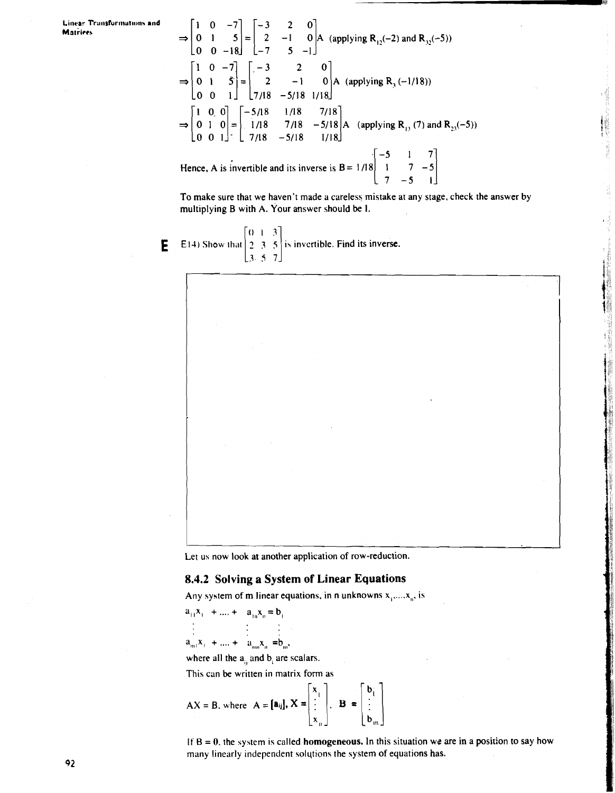$\Rightarrow$   $\begin{bmatrix} 1 & 0 & -7 \\ 0 & 1 & 5 \\ 0 & 0 & -18 \end{bmatrix}$  =  $\begin{bmatrix} -3 & 2 & 0 \\ 2 & -1 & 0 \\ -7 & 5 & -1 \end{bmatrix}$  A (applying R<sub>12</sub>(-2) and R<sub>32</sub>(-5)  $\Rightarrow$   $\begin{bmatrix} 1 & 0 & -7 \\ 0 & 1 & 5 \\ 0 & 0 & 1 \end{bmatrix}$  =  $\begin{bmatrix} -3 & 2 & 0 \\ 2 & -1 & 0 \\ 7/18 & -5/18 & 1/18 \end{bmatrix}$  A (applying R<sub>3</sub> (-1/18))  $\begin{bmatrix} 1 & 0 & 0 \end{bmatrix}$   $\begin{bmatrix} -5/18 & 1/18 \end{bmatrix}$  7/18<br> $\begin{bmatrix} 1 & 0 & 0 \end{bmatrix}$   $\begin{bmatrix} -5/18 & 1/18 \end{bmatrix}$  7/18  $\Rightarrow$   $\begin{vmatrix} 1 & 0 & 0 \\ 0 & 1 & 0 \end{vmatrix} = \begin{vmatrix} -5/18 & 1/18 & 7/18 \\ 1/18 & 7/18 & -5/18 \end{vmatrix}$  A (applying R<sub>13</sub> (7) and R<sub>23</sub>(-5))  $0 \t0 \t1$   $1 \t1 \t7/18 -5/18$  1/18 Hence, A is invertible and its inverse is  $B = \frac{1}{18}\begin{bmatrix} -5 & 1 & 7 \\ 1 & 7 & -5 \\ 7 & -5 & 1 \end{bmatrix}$ 

To make sure that we haven't made a careless mistake at any stage, check the answer by multiplying B with A. Your answer should be I.

**E** E14) Show that  $\begin{bmatrix} 0 & 1 & 3 \\ 2 & 3 & 5 \\ 3 & 5 & 7 \end{bmatrix}$  is invertible. Find its inverse.

Let us now look at another application of row-reduction.

### **8.4.2 Solving a System of Linear Equations**

Any system of m linear equations, in n unknowns  $x_1, \ldots, x_n$ , is

$$
a_{11}x_1 + \dots + a_{1n}x_n = b_1
$$
  
\n
$$
\vdots \qquad \vdots \qquad \vdots
$$

 $a_{m1}x_1 + ... + a_{mn}x_n = b_m$ 

where all the  $a_n$  and  $b_n$  are scalars.

This can be written in matrix form as

where all the 
$$
a_{ij}
$$
 and  $b_i$  are scalars.  
This can be written in matrix form as  

$$
AX = B, \text{ where } A = [a_{ij}], X = \begin{bmatrix} x_1 \\ \vdots \\ x_n \end{bmatrix}, B = \begin{bmatrix} b_i \\ \vdots \\ b_m \end{bmatrix}
$$

If  $B = 0$ , the system is called **homogeneous.** In this situation we are in a position to say how many linearly independent solqtions the system of equations has.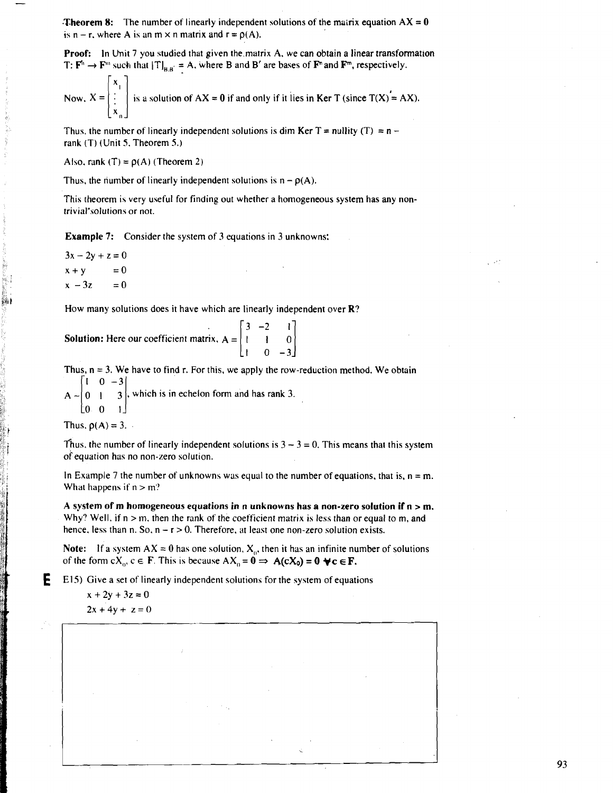**Theorem 8:** The number of linearly independent solutions of the matrix equation  $AX = 0$ is  $n - r$ , where A is an m  $\times$  n matrix and  $r = o(A)$ .

**Proof:** In Unit 7 you studied that given the matrix A, we can obtain a linear transformation

T: 
$$
\mathbf{F}^{\text{th}} \to \mathbf{F}^{\text{th}}
$$
 such that  $|\mathbf{T}|_{\mathbf{B}, \mathbf{B}} = \mathbf{A}$ , where B and B' are bases of  $\mathbf{F}^{\text{th}}$  and  $\mathbf{F}^{\text{th}}$ , respectively.  
\nNow,  $X = \begin{bmatrix} x_1 \\ \vdots \\ x_n \end{bmatrix}$  is a solution of  $AX = 0$  if and only if it lies in  $\mathbf{Ker T}$  (since  $T(X) = AX$ ).

Thus, the number of linearly independent solutions is dim Ker T = nullity (T) =  $n$ rank (T) (Unit 5. Theorem 5.)

Also. rank  $(T) = p(A)$  (Theorem 2)

**7** -7

Thus, the number of linearly independent solutions is  $n - p(A)$ .

This theorem is very useful for finding out whether a homogeneous system has any nontrivial"solutions or not.

**Example 7:** Consider the system of 3 equations in 3 unknowns:

 $3x - 2y + z = 0$  $x + y$  $= 0$  $x - 3z$  $= 0$ 

How many solutions does it have which are linearly independent over R?

| <b>Solution:</b> Here our coefficient matrix, $A = \begin{bmatrix} 3 & -2 & 1 \\ 1 & 1 & 0 \end{bmatrix}$ |  |                                            |  |
|-----------------------------------------------------------------------------------------------------------|--|--------------------------------------------|--|
|                                                                                                           |  | $\begin{bmatrix} 1 & 0 & -3 \end{bmatrix}$ |  |

Thus,  $n = 3$ . We have to find r. For this, we apply the row-reduction method. We obtain  $1 \t0 -3$  $A \sim |0 \mid 3$ , which is in echelon form and has rank 3.

 $[0 \ 0 \ 1]$ 

Thus,  $\rho(A) = 3$ .

Thus, the number of linearly independent solutions is  $3 - 3 = 0$ . This means that this system of equation has no non-zero solution.

In Example 7 the number of unknowns was equal to the number of equations, that is,  $n = m$ . What happens if  $n > m$ ?

A system of m homogeneous equations in n unknowns has a non-zero solution if  $n > m$ . Why? Well, if  $n > m$ , then the rank of the coefficient matrix is less than or equal to m, and hence, less than n. So,  $n - r > 0$ . Therefore, at least one non-zero solution exists.

**Note:** If a system  $AX = 0$  has one solution,  $X_n$ , then it has an infinite number of solutions of the form  $cX_0$ ,  $c \in \mathbf{F}$ . This is because  $AX_0 = \mathbf{0} \Rightarrow A(cX_0) = \mathbf{0} \forall c \in \mathbf{F}$ .

**E** E15) Give a set of linearly independent solutions for the system of equations

 $x + 2y + 3z = 0$  $2x + 4y + z = 0$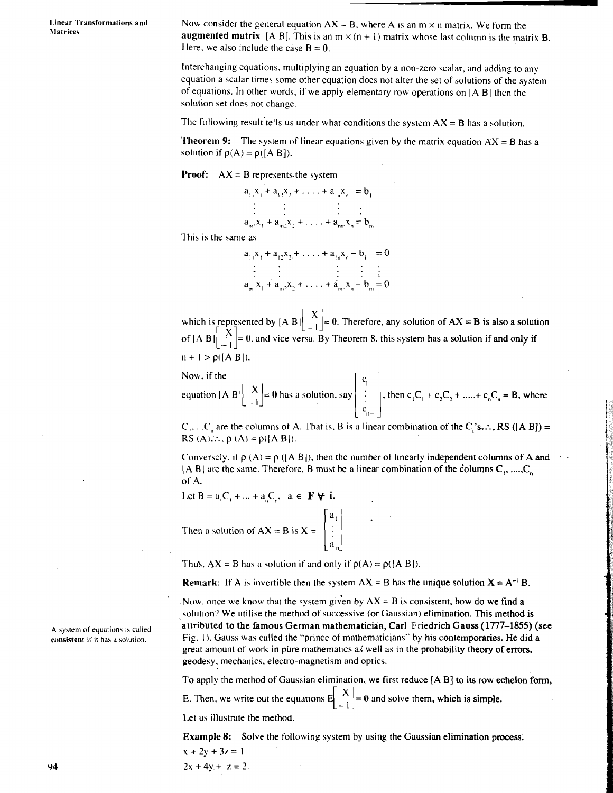**I.inear Transformations and \latrices** 

Now consider the general equation  $AX = B$ , where A is an m  $\times$  n matrix. We form the augmented matrix  $[A B]$ . This is an  $m \times (n + 1)$  matrix whose last column is the matrix B. Here, we also include the case  $B = 0$ .

Interchanging equations, multiplying an equation by a non-zero scalar, and adding to any equation a scalar times some other equation does not alter the set of solutions of the system of equations. In other words, if we apply elementary row operations on **[A** B] then the solution set does not change.

The following result tells us under what conditions the system  $AX = B$  has a solution.

**Theorem 9:** The system of linear equations given by the matrix equation  $AX = B$  has a solution if  $\rho(A) = \rho([A \ B]).$ 

**Proof:**  $AX = B$  represents the system

$$
a_{11}x_1 + a_{12}x_2 + \ldots + a_{1n}x_n = b_1
$$
  
\n
$$
\vdots \qquad \vdots \qquad \vdots
$$
  
\n
$$
a_{m1}x_1 + a_{m2}x_2 + \ldots + a_{mn}x_n = b_m
$$

This is the same as

$$
a_{11}x_1 + a_{12}x_2 + \ldots + a_{1n}x_n - b_1 = 0
$$
  
\n
$$
\vdots \qquad \vdots \qquad \vdots \qquad \vdots
$$
  
\n
$$
a_{m1}x_1 + a_{m2}x_2 + \ldots + a_{mn}x_n - b_m = 0
$$

which is represented by  $[A \ B] \begin{bmatrix} 1 \end{bmatrix} = 0$ . Therefore, any solution of  $AX = B$  is also a solution of  $[A, B] \begin{bmatrix} X \\ -1 \end{bmatrix} = 0$ , and vice versa. By Theorem 8, this system has a solution if and only if  $n + 1 > \rho(|A B|)$ .

Now. if the

equation [A B] 
$$
\begin{bmatrix} X \\ -1 \end{bmatrix}
$$
 = 0 has a solution, say  $\begin{vmatrix} c_1 \\ \vdots \\ c_{n-1} \end{vmatrix}$ , then  $c_1C_1 + c_2C_2 + \dots + c_nC_n = B$ , where

 $C_1$ , ...  $C_n$  are the columns of A. That is, B is a linear combination of the  $C_i$ 's,  $\therefore$ , **RS ([A B])** = RS  $(A)$ .:.,  $\rho(A) = \rho([A \ B]).$ 

Conversely, if  $\rho$  (A) =  $\rho$  ( $\overline{AB}$ ), then the number of linearly independent columns of **A** and  $\cdot$  $|A \text{ B}|$  are the same. Therefore, **B** must be a linear combination of the columns  $C_1$ , ...,  $C_n$ of **A.** 

Let  $B = a_1C_1 + ... + a_nC_n$ ,  $a_i \in \mathbf{F} \forall i$ . Then a solution of  $AX = B$  is  $X = \begin{bmatrix} a_1 \\ \vdots \\ a_n \end{bmatrix}$ 

Thus,  $AX = B$  has a solution if and only if  $p(A) = p([A \ B]).$ 

**Remark:** If A is invertible then the system  $AX = B$  has the unique solution  $X = A^{-1}B$ .

Now, once we know that the system given by  $AX = B$  is consistent, how do we find a solution? We utilise the method of successive (or Gaussian) elimination. This method is attributed to the famous German mathematician, Carl Friedrich Gauss **(1777-1855)** (see Fig. 1). Gauss was called the "prince of mathematicians" by his contemporaries. He did a great amount of work in pure mathematics as well as in the probability theory of errors, geodesy. mechanics, electro-magnetism and optics.

To apply the method of Gaussian elimination, we first reduce **[A** B] to its row echelon form,

E. Then, we write out the equations  $E\begin{bmatrix} X \\ -1 \end{bmatrix} = 0$  and solve them, which is simple.

Let us illustrate the method.

 $2x + 4y + z = 2$ 

Example 8: Solve the following system by using the Gaussian elimination process.  $x + 2y + 3z = 1$ 

**A \$ystem of equations is calletl consistent 11' it has a wlution.**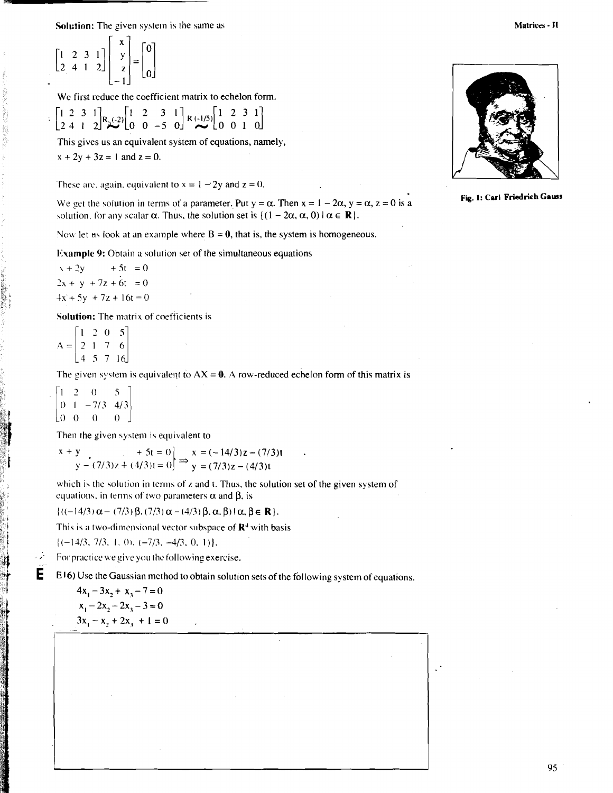**Solution:** The given system is the same as

$$
\begin{bmatrix} 1 & 2 & 3 & 1 \\ 2 & 4 & 1 & 2 \end{bmatrix} \begin{bmatrix} x \\ y \\ z \\ -1 \end{bmatrix} = \begin{bmatrix} 0 \\ 0 \\ 0 \end{bmatrix}
$$

We first reduce the coefficient matrix to echelon form.

 $\begin{bmatrix} 1 & 2 & 3 & 1 \\ 2 & 4 & 1 & 2 \end{bmatrix} R_{\lambda}(-2) \begin{bmatrix} 1 & 2 & 3 & 1 \\ 0 & 0 & -5 & 0 \end{bmatrix} R_{\lambda}(-1/5) \begin{bmatrix} 1 & 2 & 3 & 1 \\ 0 & 0 & 1 & 0 \end{bmatrix}$ 

This gives us an equivalent system of equations, namely,  $x + 2y + 3z = 1$  and  $z = 0$ .

These are, again, equivalent to  $x = 1 - 2y$  and  $z = 0$ .

We get the solution in terms of a parameter. Put y =  $\alpha$ . Then  $x = 1 - 2\alpha$ ,  $y = \alpha$ ,  $z = 0$  is a **Fig. 1: Carl Friedrich Gauss** solution, for any scalar  $\alpha$ . Thus, the solution set is  $\{(1 - 2\alpha, \alpha, 0) | \alpha \in \mathbb{R} \}.$ 

Now let us look at an example where  $B = 0$ , that is, the system is homogeneous.

**Example 9:** Obtain a solution set of the simultaneous equations

 $x + 2y + 5t = 0$  $2x + y + 7z + 6t = 0$ <br> $4x + 5y + 7z + 16t = 0$ 

**Solution:** The matrix of coefficients is

 $\begin{bmatrix} 1 & 2 & 0 & 5 \end{bmatrix}$  $A = \begin{vmatrix} 2 & 1 & 7 & 6 \end{vmatrix}$  $\begin{bmatrix} 4 & 5 & 7 & 16 \end{bmatrix}$ 

The given system is equivalent to  $AX = 0$ . A row-reduced echelon form of this matrix is

 $2 \quad 0$  $\mathcal{S}$  $0 \quad 1 \quad -7/3 \quad 4/3$ **b.** lo *0 0* 0 1

**Z."f** 

Then the given system is equivalent to

which is the solution in terms of *z* and *t*. Thus, the solution set of the given system of equations, in terms of two parameters  $\alpha$  and  $\beta$ , is

 $\{((-14/3)\alpha - (7/3)\beta, (7/3)\alpha - (4/3)\beta, \alpha, \beta\} \mid \alpha, \beta \in \mathbb{R}\}.$ 

This is a two-dimensional vector subspace of  $\mathbb{R}^4$  with basis

 $\{(-14/3, 7/3, 1, 0), (-7/3, -4/3, 0, 1)\}.$  For practice we give you the following exercise.

**E** E16) Use the Gaussian method to obtain solution sets of the following system of equations.

$$
4x1 - 3x2 + x3 - 7 = 0
$$
  

$$
x1 - 2x2 - 2x3 - 3 = 0
$$
  

$$
3x1 - x2 + 2x3 + 1 = 0
$$

i

 $\mathbf X$ 

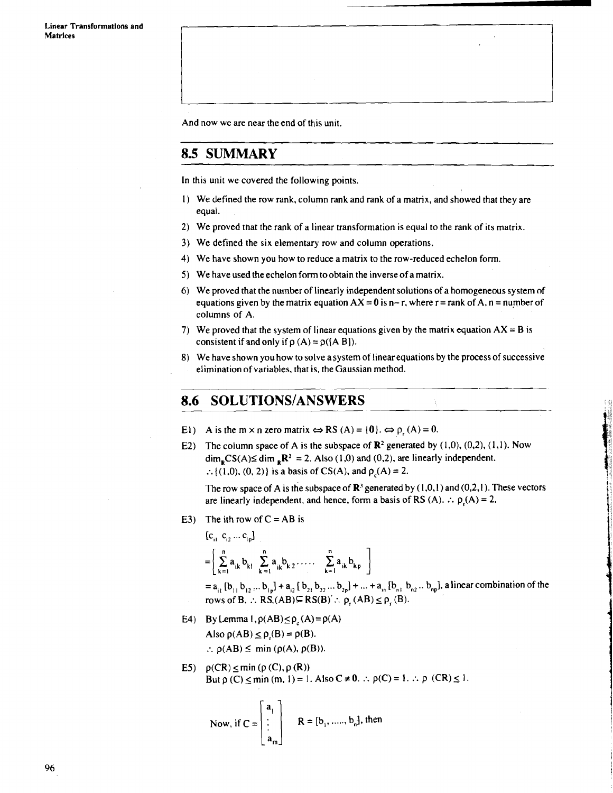And now we are near the end of this unit.

### **8.5 SUMMARY**

In this unit we covered the following points.

- 1) We defined the row rank, column rank and rank of a matrix, and showed that they are equal.
- 2) We proved that the rank of a linear transformation is equal to the rank of its matrix.
- 3) We defined the six elementary row and column operations.
- 4) We have shown you how to reduce a matrix to the row-reduced echelon form.
- 5) We have used the echelon form to obtain the inverse of a matrix.
- 6) We proved that the number of linearly independent solutions of a homogeneous system nf equations given by the matrix equation  $AX = 0$  is n-r, where  $r = rank of A$ , n = number of columns of A.
- 7) We proved that the system of linear equations given by the matrix equation  $AX = B$  is consistent if and only if  $\rho(A) = \rho([A B]).$
- 8) We have shown you how to solve asystem of linear equations by the process of successive elimination of variables, that is, the Gaussian method.

### **SOLUTIONS/ANSWERS** 8.6

- El) A is the m x n zero matrix  $\Leftrightarrow$  RS (A) = {0}.  $\Leftrightarrow$   $\rho_r(A) = 0$ .
- E2) The column space of A is the subspace of  $\mathbb{R}^2$  generated by (1,0), (0,2), (1,1). Now  $\dim_{\mathbf{R}} \text{CS}(A) \leq \dim_{\mathbf{R}} \mathbf{R}^2 = 2$ . Also (1,0) and (0,2), are linearly independent. :. {(1,0), (0, 2)} is a basis of CS(A), and  $\rho_c(A) = 2$ .

The row space of A is the subspace of  $\mathbb{R}^3$  generated by (1,0,1) and (0,2,1). These vectors are linearly independent, and hence, form a basis of RS (A).  $\therefore$   $p(A) = 2$ .

E3) The ith row of  $C = AB$  is

 $\overline{a}$ 

$$
\{c_{i1}^{\dagger} \ c_{i2}^{\dagger} \dots c_{ip}\}
$$

 $\mathbf{r}$ 

$$
=\left[\begin{array}{c}\stackrel{n}{\sum}\; a_{ik}\; b_{kl} \;\; \sum\limits_{k=1}^n a_{ik}\; b_{k\,2}\; \ldots ,\ \ \, \sum\limits_{k=1}^n a_{ik}\; b_{kp}\end{array}\right]
$$

 $= a_{11} [b_{11} b_{12} ... b_{1p}] + a_{12} [b_{21} b_{22} ... b_{2p}] + ... + a_{1n} [b_{n1} b_{n2} ... b_{np}]$ , a linear combination of the  $r_{k=1}^{k=1}$ <br>=  $a_{i_1}$  [b<sub>11</sub> b<sub>12</sub> ... b<sub>1p</sub>] +  $a_{i_2}$  [ b<sub>21</sub> b<sub>22</sub> ... b<sub>2p</sub>] + ... +  $a_{i_n}$  [b<sub>n</sub><sub>1</sub> b<sub>n</sub><br>rows of B.  $\therefore$  RS.(AB) $\subseteq$  RS(B)  $\therefore$   $\rho_r$  (AB)  $\leq \rho_r$  (B).

- E4) By Lemma  $1, \rho(AB) \le \rho_c(A) = \rho(A)$ Also  $\rho(AB) \leq \rho(B) = \rho(B)$ . :.  $\rho(AB) \leq \min(\rho(A), \rho(B)).$
- E5)  $\rho(CR) \le \min(\rho(C), \rho(R))$ But  $\rho$  (C)  $\leq$  min (m, 1) = 1. Also C  $\neq$  0.  $\therefore$   $\rho$ (C) = 1.  $\therefore$   $\rho$  (CR)  $\leq$  1.

Now, if 
$$
C = \begin{bmatrix} a_1 \\ \vdots \\ a_m \end{bmatrix}
$$
  $R = [b_1, \dots, b_n]$ , then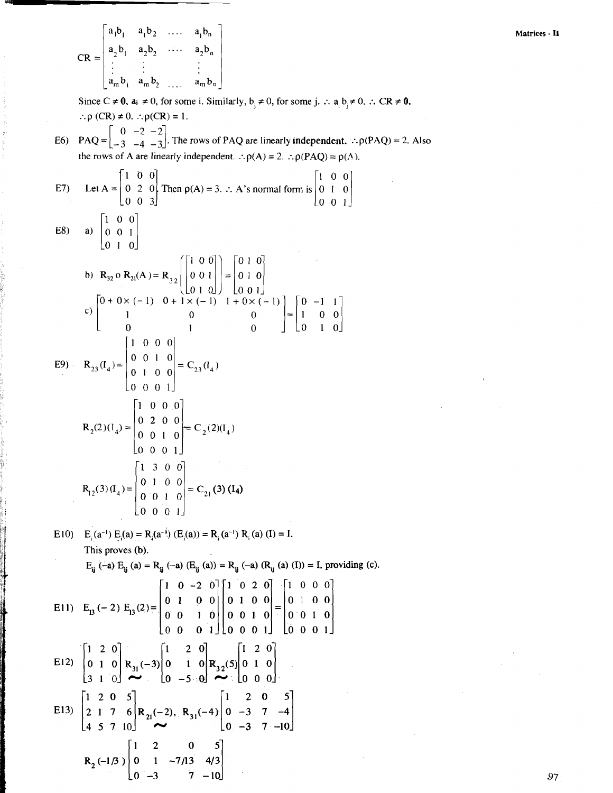CR =  $\begin{bmatrix} a_1b_1 & a_1b_2 & \cdots & a_1b_n \\ a_2b_1 & a_2b_2 & \cdots & a_2b_n \\ \vdots & \vdots & & \vdots \\ a_mb_1 & a_mb_2 & \cdots & a_mb_n \end{bmatrix}$ Since  $C \neq 0$ ,  $a_i \neq 0$ , for some i. Similarly,  $b_i \neq 0$ , for some j.  $\therefore a_i b_i \neq 0$ .  $\therefore CR \neq 0$ .  $\therefore \rho$  (CR)  $\neq 0$ .  $\therefore \rho$ (CR) = 1. PAQ =  $\begin{bmatrix} 0 & -2 & -2 \\ -3 & -4 & -3 \end{bmatrix}$ . The rows of PAQ are linearly independent.  $\therefore \rho(PAQ) = 2$ . Also  $E6$ the rows of A are linearly independent.  $\therefore \rho(A) = 2$ .  $\therefore \rho(PAQ) = \rho(A)$ . Let  $A = \begin{bmatrix} 1 & 0 & 0 \\ 0 & 2 & 0 \\ 0 & 0 & 3 \end{bmatrix}$  Then  $p(A) = 3$ .  $\therefore$  A's normal form is  $\begin{bmatrix} 1 & 0 & 0 \\ 0 & 1 & 0 \\ 0 & 0 & 1 \end{bmatrix}$  $E7)$ a)  $\begin{bmatrix} 1 & 0 & 0 \\ 0 & 0 & 1 \\ 0 & 1 & 0 \end{bmatrix}$  $E8)$ b)  $\mathbf{R}_{32} \text{ o } \mathbf{R}_{21}(\text{A}) = \mathbf{R}_{32} \begin{bmatrix} 1 & 0 & 0 \ 0 & 0 & 1 \ 0 & 1 & 0 \end{bmatrix} = \begin{bmatrix} 0 & 1 & 0 \ 0 & 1 & 0 \ 0 & 0 & 1 \end{bmatrix}$ <br>
c)  $\begin{bmatrix} 0 + 0 \times (-1) & 0 + 1 \times (-1) & 1 + 0 \times (-1) \\ 1 & 0 & 0 \\ 0 & 1 & 0 \end{bmatrix} = \begin{bmatrix} 0 & -1 & 1 \\ 1 & 0 & 0 \\ 0 & 1 & 0$ E9)  $\mathbf{R}_{23}(\mathbf{I}_4) = \begin{bmatrix} 1 & 0 & 0 & 0 \\ 0 & 0 & 1 & 0 \\ 0 & 1 & 0 & 0 \end{bmatrix} = \mathbf{C}_{23}(\mathbf{I}_4)$  $R_2(2)(I_4) = \begin{vmatrix} 1 & 0 & 0 & 0 \\ 0 & 2 & 0 & 0 \\ 0 & 0 & 1 & 0 \end{vmatrix} = C_2(2)(I_4)$  $R_{12}(3)(I_4) = \begin{vmatrix} 1 & 3 & 0 & 0 \\ 0 & 1 & 0 & 0 \\ 0 & 0 & 1 & 0 \\ 0 & 0 & 0 & 0 \end{vmatrix} = C_{21}(3)(I_4)$ E10) E (a<sup>-1</sup>) E (a) = R (a<sup>-1</sup>) (E (a)) = R (a<sup>-1</sup>) R (a) (I) = I. This proves (b).  $E_{ij}(-a) E_{ij}(a) = R_{ij}(-a) (E_{ij}(a)) = R_{ij}(-a) (R_{ij}(a) (I)) = I$ , providing (c). E11)  $E_{13}(-2) E_{13}(2) = \begin{vmatrix} 1 & 0 & -2 & 0 \\ 0 & 1 & 0 & 0 \\ 0 & 0 & 1 & 0 \\ 0 & 0 & 0 & 1 \end{vmatrix} \begin{vmatrix} 1 & 0 & 2 & 0 \\ 0 & 1 & 0 & 0 \\ 0 & 0 & 1 & 0 \\ 0 & 0 & 0 & 1 \end{vmatrix} = \begin{vmatrix} 1 & 0 & 0 & 0 \\ 0 & 1 & 0 & 0 \\ 0 & 0 & 1 & 0 \\ 0 & 0 & 0 & 1 \end{vmatrix}$ E12)  $\begin{bmatrix} 1 & 2 & 0 \\ 0 & 1 & 0 \\ 3 & 1 & 0 \end{bmatrix}$   $\begin{bmatrix} 1 & 2 & 0 \\ 0 & 1 & 0 \\ 0 & -5 & 0 \end{bmatrix}$   $\begin{bmatrix} 1 & 2 & 0 \\ 0 & 1 & 0 \\ 0 & 0 & 0 \end{bmatrix}$ E13)  $\begin{bmatrix} 1 & 2 & 0 & 5 \\ 2 & 1 & 7 & 6 \\ 4 & 5 & 7 & 10 \end{bmatrix}$  R<sub>21</sub>(-2), R<sub>31</sub>(-4)  $\begin{bmatrix} 1 & 2 & 0 & 5 \\ 0 & -3 & 7 & -4 \\ 0 & -3 & 7 & -10 \end{bmatrix}$  $R_2(-1/3)\begin{vmatrix} 1 & 2 & 0 & 5 \\ 0 & 1 & -7/13 & 4/3 \\ 0 & 3 & 7 & 10 \end{vmatrix}$ 

97